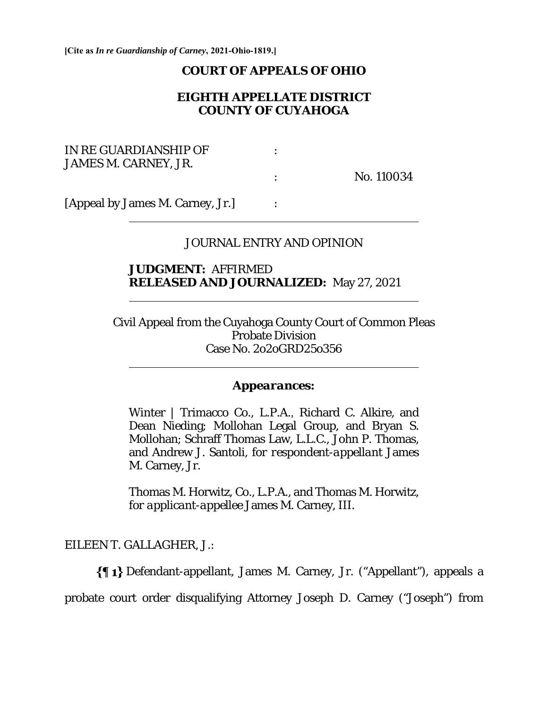**[Cite as** *In re Guardianship of Carney***, 2021-Ohio-1819.]**

#### **COURT OF APPEALS OF OHIO**

# **EIGHTH APPELLATE DISTRICT COUNTY OF CUYAHOGA**

| IN RE GUARDIANSHIP OF |            |
|-----------------------|------------|
| JAMES M. CARNEY, JR.  |            |
|                       | No. 110034 |
|                       |            |

[Appeal by James M. Carney, Jr.] :

 $\overline{a}$ 

 $\overline{a}$ 

 $\overline{a}$ 

## JOURNAL ENTRY AND OPINION

### **JUDGMENT:** AFFIRMED **RELEASED AND JOURNALIZED:** May 27, 2021

Civil Appeal from the Cuyahoga County Court of Common Pleas Probate Division Case No. 2o2oGRD25o356

#### *Appearances:*

Winter | Trimacco Co., L.P.A., Richard C. Alkire, and Dean Nieding; Mollohan Legal Group, and Bryan S. Mollohan; Schraff Thomas Law, L.L.C., John P. Thomas, and Andrew J. Santoli, *for respondent-appellant* James M. Carney, Jr.

Thomas M. Horwitz, Co., L.P.A., and Thomas M. Horwitz, *for applicant-appellee* James M. Carney, III.

### EILEEN T. GALLAGHER, J.:

Defendant-appellant, James M. Carney, Jr. ("Appellant"), appeals a probate court order disqualifying Attorney Joseph D. Carney ("Joseph") from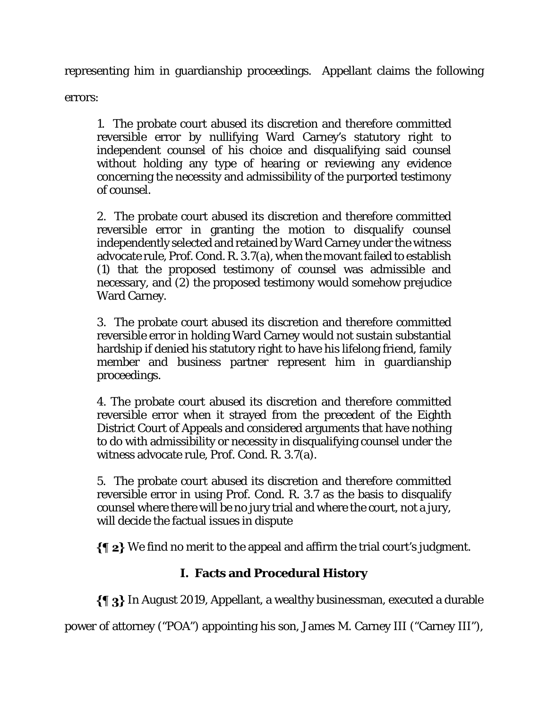representing him in guardianship proceedings. Appellant claims the following

errors:

1. The probate court abused its discretion and therefore committed reversible error by nullifying Ward Carney's statutory right to independent counsel of his choice and disqualifying said counsel without holding any type of hearing or reviewing any evidence concerning the necessity and admissibility of the purported testimony of counsel.

2. The probate court abused its discretion and therefore committed reversible error in granting the motion to disqualify counsel independently selected and retained by Ward Carney under the witness advocate rule, Prof. Cond. R. 3.7(a), when the movant failed to establish (1) that the proposed testimony of counsel was admissible and necessary, and (2) the proposed testimony would somehow prejudice Ward Carney.

3. The probate court abused its discretion and therefore committed reversible error in holding Ward Carney would not sustain substantial hardship if denied his statutory right to have his lifelong friend, family member and business partner represent him in guardianship proceedings.

4. The probate court abused its discretion and therefore committed reversible error when it strayed from the precedent of the Eighth District Court of Appeals and considered arguments that have nothing to do with admissibility or necessity in disqualifying counsel under the witness advocate rule, Prof. Cond. R. 3.7(a).

5. The probate court abused its discretion and therefore committed reversible error in using Prof. Cond. R. 3.7 as the basis to disqualify counsel where there will be no jury trial and where the court, not a jury, will decide the factual issues in dispute

 $\{\P 2\}$  We find no merit to the appeal and affirm the trial court's judgment.

# **I. Facts and Procedural History**

 $\{\P_3\}$  In August 2019, Appellant, a wealthy businessman, executed a durable

power of attorney ("POA") appointing his son, James M. Carney III ("Carney III"),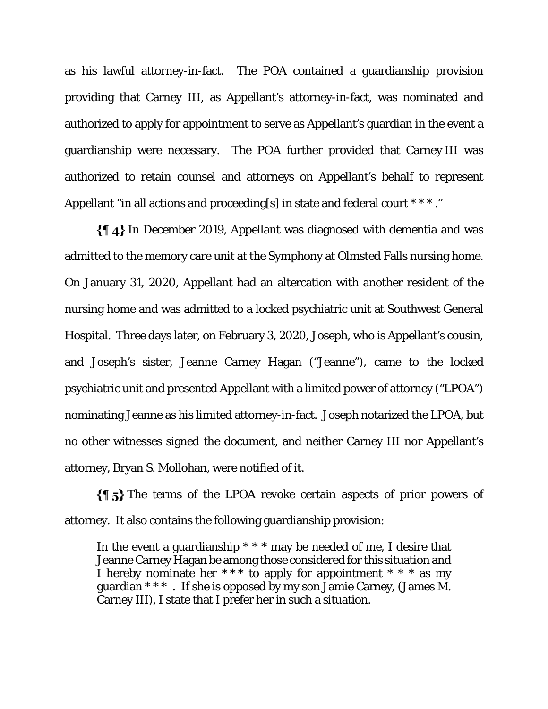as his lawful attorney-in-fact. The POA contained a guardianship provision providing that Carney III, as Appellant's attorney-in-fact, was nominated and authorized to apply for appointment to serve as Appellant's guardian in the event a guardianship were necessary. The POA further provided that Carney III was authorized to retain counsel and attorneys on Appellant's behalf to represent Appellant "in all actions and proceeding[s] in state and federal court \*\*\*."

 $\{\{\,\}\,\mathbf{4}\}$  In December 2019, Appellant was diagnosed with dementia and was admitted to the memory care unit at the Symphony at Olmsted Falls nursing home. On January 31, 2020, Appellant had an altercation with another resident of the nursing home and was admitted to a locked psychiatric unit at Southwest General Hospital. Three days later, on February 3, 2020, Joseph, who is Appellant's cousin, and Joseph's sister, Jeanne Carney Hagan ("Jeanne"), came to the locked psychiatric unit and presented Appellant with a limited power of attorney ("LPOA") nominating Jeanne as his limited attorney-in-fact. Joseph notarized the LPOA, but no other witnesses signed the document, and neither Carney III nor Appellant's attorney, Bryan S. Mollohan, were notified of it.

 $\{\P_5\}$  The terms of the LPOA revoke certain aspects of prior powers of attorney. It also contains the following guardianship provision:

In the event a guardianship  $***$  may be needed of me, I desire that Jeanne Carney Hagan be among those considered for this situation and I hereby nominate her  $***$  to apply for appointment  $***$  as my guardian  $***$ . If she is opposed by my son Jamie Carney, (James M. Carney III), I state that I prefer her in such a situation.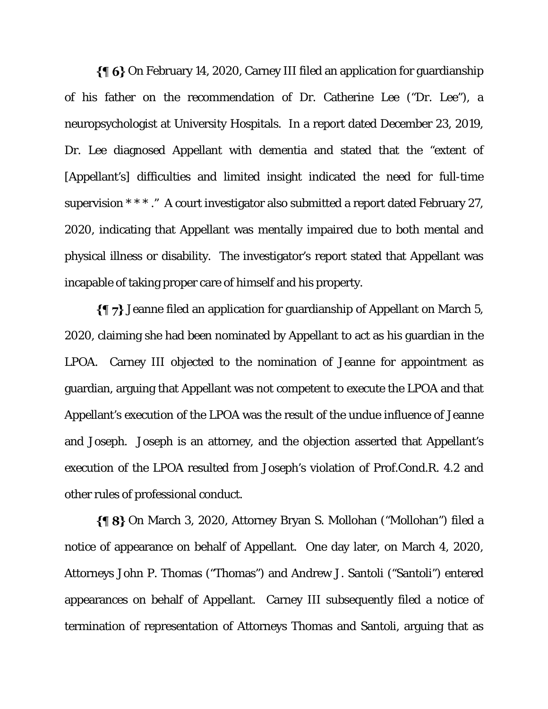$\{\P\ 6\}$  On February 14, 2020, Carney III filed an application for guardianship of his father on the recommendation of Dr. Catherine Lee ("Dr. Lee"), a neuropsychologist at University Hospitals. In a report dated December 23, 2019, Dr. Lee diagnosed Appellant with dementia and stated that the "extent of [Appellant's] difficulties and limited insight indicated the need for full-time supervision \* \* \* ." A court investigator also submitted a report dated February 27, 2020, indicating that Appellant was mentally impaired due to both mental and physical illness or disability. The investigator's report stated that Appellant was incapable of taking proper care of himself and his property.

Jeanne filed an application for guardianship of Appellant on March 5, 2020, claiming she had been nominated by Appellant to act as his guardian in the LPOA. Carney III objected to the nomination of Jeanne for appointment as guardian, arguing that Appellant was not competent to execute the LPOA and that Appellant's execution of the LPOA was the result of the undue influence of Jeanne and Joseph. Joseph is an attorney, and the objection asserted that Appellant's execution of the LPOA resulted from Joseph's violation of Prof.Cond.R. 4.2 and other rules of professional conduct.

On March 3, 2020, Attorney Bryan S. Mollohan ("Mollohan") filed a notice of appearance on behalf of Appellant. One day later, on March 4, 2020, Attorneys John P. Thomas ("Thomas") and Andrew J. Santoli ("Santoli") entered appearances on behalf of Appellant. Carney III subsequently filed a notice of termination of representation of Attorneys Thomas and Santoli, arguing that as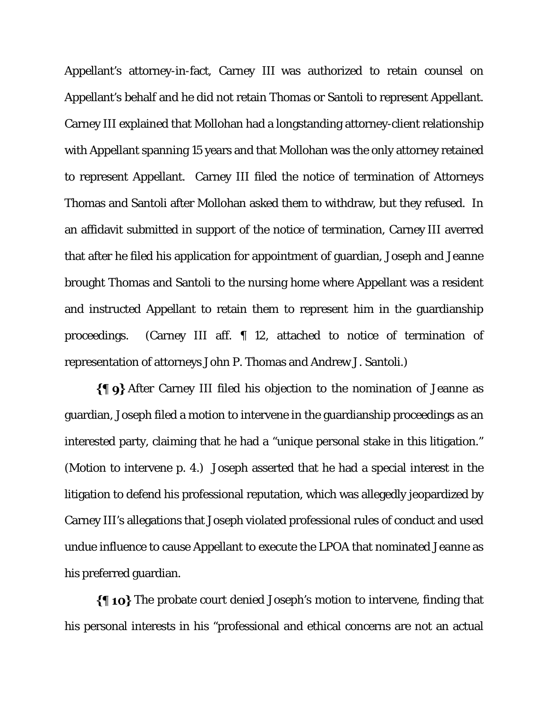Appellant's attorney-in-fact, Carney III was authorized to retain counsel on Appellant's behalf and he did not retain Thomas or Santoli to represent Appellant. Carney III explained that Mollohan had a longstanding attorney-client relationship with Appellant spanning 15 years and that Mollohan was the only attorney retained to represent Appellant. Carney III filed the notice of termination of Attorneys Thomas and Santoli after Mollohan asked them to withdraw, but they refused. In an affidavit submitted in support of the notice of termination, Carney III averred that after he filed his application for appointment of guardian, Joseph and Jeanne brought Thomas and Santoli to the nursing home where Appellant was a resident and instructed Appellant to retain them to represent him in the guardianship proceedings. (Carney III aff. ¶ 12, attached to notice of termination of representation of attorneys John P. Thomas and Andrew J. Santoli.)

After Carney III filed his objection to the nomination of Jeanne as guardian, Joseph filed a motion to intervene in the guardianship proceedings as an interested party, claiming that he had a "unique personal stake in this litigation." (Motion to intervene p. 4.) Joseph asserted that he had a special interest in the litigation to defend his professional reputation, which was allegedly jeopardized by Carney III's allegations that Joseph violated professional rules of conduct and used undue influence to cause Appellant to execute the LPOA that nominated Jeanne as his preferred guardian.

 $\{\P$  10} The probate court denied Joseph's motion to intervene, finding that his personal interests in his "professional and ethical concerns are not an actual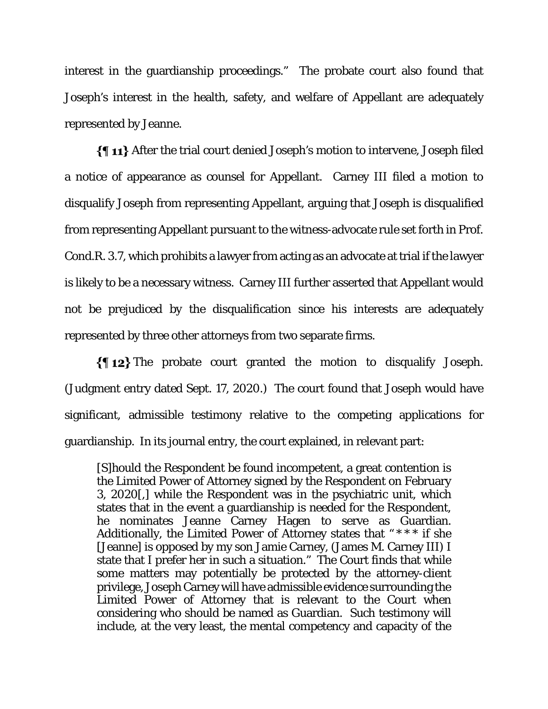interest in the guardianship proceedings." The probate court also found that Joseph's interest in the health, safety, and welfare of Appellant are adequately represented by Jeanne.

After the trial court denied Joseph's motion to intervene, Joseph filed a notice of appearance as counsel for Appellant. Carney III filed a motion to disqualify Joseph from representing Appellant, arguing that Joseph is disqualified from representing Appellant pursuant to the witness-advocate rule set forth in Prof. Cond.R. 3.7, which prohibits a lawyer from acting as an advocate at trial if the lawyer is likely to be a necessary witness. Carney III further asserted that Appellant would not be prejudiced by the disqualification since his interests are adequately represented by three other attorneys from two separate firms.

 $\{\P_1\}$  The probate court granted the motion to disqualify Joseph. (Judgment entry dated Sept. 17, 2020.) The court found that Joseph would have significant, admissible testimony relative to the competing applications for guardianship. In its journal entry, the court explained, in relevant part:

[S]hould the Respondent be found incompetent, a great contention is the Limited Power of Attorney signed by the Respondent on February 3, 2020[,] while the Respondent was in the psychiatric unit, which states that in the event a guardianship is needed for the Respondent, he nominates Jeanne Carney Hagen to serve as Guardian. Additionally, the Limited Power of Attorney states that " \* \* \* if she [Jeanne] is opposed by my son Jamie Carney, (James M. Carney III) I state that I prefer her in such a situation." The Court finds that while some matters may potentially be protected by the attorney-client privilege, Joseph Carney will have admissible evidence surrounding the Limited Power of Attorney that is relevant to the Court when considering who should be named as Guardian. Such testimony will include, at the very least, the mental competency and capacity of the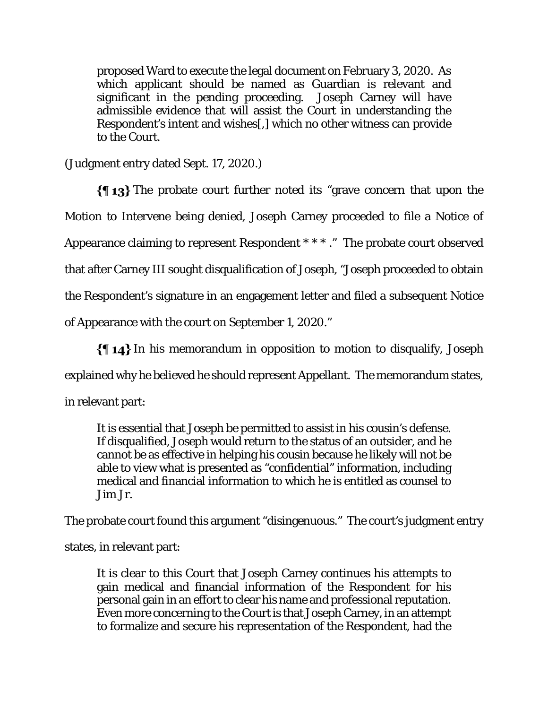proposed Ward to execute the legal document on February 3, 2020. As which applicant should be named as Guardian is relevant and significant in the pending proceeding. Joseph Carney will have admissible evidence that will assist the Court in understanding the Respondent's intent and wishes[,] which no other witness can provide to the Court.

(Judgment entry dated Sept. 17, 2020.)

 $\{\P_1, \P_2\}$  The probate court further noted its "grave concern that upon the Motion to Intervene being denied, Joseph Carney proceeded to file a Notice of Appearance claiming to represent Respondent \* \* \* ." The probate court observed that after Carney III sought disqualification of Joseph, "Joseph proceeded to obtain the Respondent's signature in an engagement letter and filed a subsequent Notice of Appearance with the court on September 1, 2020."

 $\{\{\,\,\,\,\,\}\$  In his memorandum in opposition to motion to disqualify, Joseph explained why he believed he should represent Appellant. The memorandum states, in relevant part:

It is essential that Joseph be permitted to assist in his cousin's defense. If disqualified, Joseph would return to the status of an outsider, and he cannot be as effective in helping his cousin because he likely will not be able to view what is presented as "confidential" information, including medical and financial information to which he is entitled as counsel to Jim Jr.

The probate court found this argument "disingenuous." The court's judgment entry

states, in relevant part:

It is clear to this Court that Joseph Carney continues his attempts to gain medical and financial information of the Respondent for his personal gain in an effort to clear his name and professional reputation. Even more concerning to the Court is that Joseph Carney, in an attempt to formalize and secure his representation of the Respondent, had the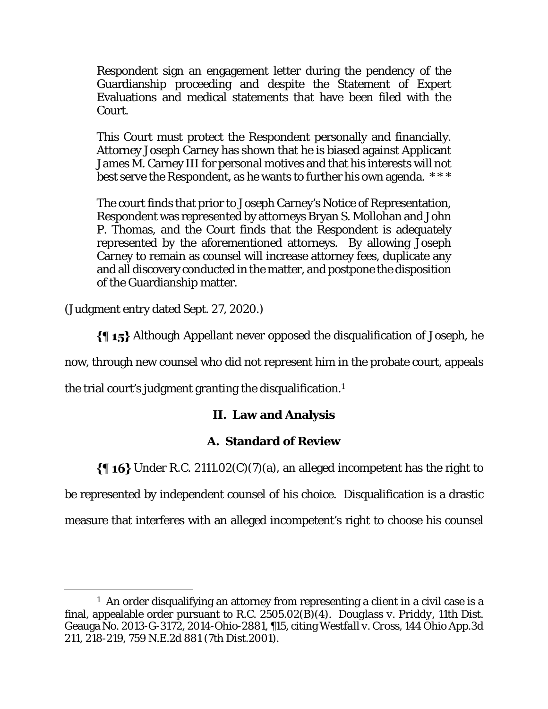Respondent sign an engagement letter during the pendency of the Guardianship proceeding and despite the Statement of Expert Evaluations and medical statements that have been filed with the Court.

This Court must protect the Respondent personally and financially. Attorney Joseph Carney has shown that he is biased against Applicant James M. Carney III for personal motives and that his interests will not best serve the Respondent, as he wants to further his own agenda. \* \* \*

The court finds that prior to Joseph Carney's Notice of Representation, Respondent was represented by attorneys Bryan S. Mollohan and John P. Thomas, and the Court finds that the Respondent is adequately represented by the aforementioned attorneys. By allowing Joseph Carney to remain as counsel will increase attorney fees, duplicate any and all discovery conducted in the matter, and postpone the disposition of the Guardianship matter.

(Judgment entry dated Sept. 27, 2020.)

Although Appellant never opposed the disqualification of Joseph, he

now, through new counsel who did not represent him in the probate court, appeals

the trial court's judgment granting the disqualification.<sup>1</sup>

# **II. Law and Analysis**

# **A. Standard of Review**

 $\{\P$  16} Under R.C. 2111.02(C)(7)(a), an alleged incompetent has the right to

be represented by independent counsel of his choice. Disqualification is a drastic

measure that interferes with an alleged incompetent's right to choose his counsel

<sup>&</sup>lt;sup>1</sup> An order disqualifying an attorney from representing a client in a civil case is a final, appealable order pursuant to R.C. 2505.02(B)(4). *Douglass v. Priddy*, 11th Dist. Geauga No. 2013-G-3172, 2014-Ohio-2881, ¶15, citing *Westfall v. Cross*, 144 Ohio App.3d 211, 218-219, 759 N.E.2d 881 (7th Dist.2001).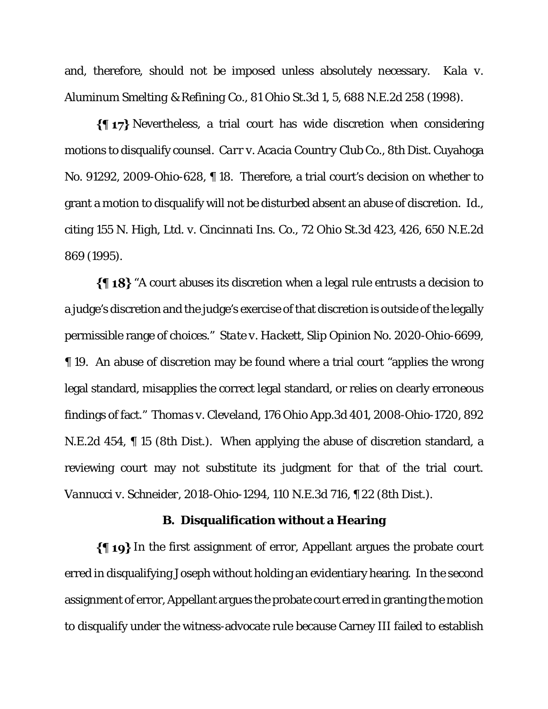and, therefore, should not be imposed unless absolutely necessary. *Kala v. Aluminum Smelting & Refining Co.*, 81 Ohio St.3d 1, 5, 688 N.E.2d 258 (1998).

 $\P$  17} Nevertheless, a trial court has wide discretion when considering motions to disqualify counsel. *Carr v. Acacia Country Club Co.*, 8th Dist. Cuyahoga No. 91292, 2009-Ohio-628, ¶ 18. Therefore, a trial court's decision on whether to grant a motion to disqualify will not be disturbed absent an abuse of discretion. *Id*., citing *155 N. High, Ltd. v. Cincinnati Ins. Co.*, 72 Ohio St.3d 423, 426, 650 N.E.2d 869 (1995).

 $\{\P 18\}$  "A court abuses its discretion when a legal rule entrusts a decision to a judge's discretion and the judge's exercise of that discretion is outside of the legally permissible range of choices." *State v. Hackett*, Slip Opinion No. 2020-Ohio-6699, ¶ 19. An abuse of discretion may be found where a trial court "applies the wrong legal standard, misapplies the correct legal standard, or relies on clearly erroneous findings of fact." *Thomas v. Cleveland*, 176 Ohio App.3d 401, 2008-Ohio-1720, 892 N.E.2d 454, ¶ 15 (8th Dist.). When applying the abuse of discretion standard, a reviewing court may not substitute its judgment for that of the trial court. *Vannucci v. Schneider*, 2018-Ohio-1294, 110 N.E.3d 716, ¶ 22 (8th Dist.).

#### **B. Disqualification without a Hearing**

In the first assignment of error, Appellant argues the probate court erred in disqualifying Joseph without holding an evidentiary hearing. In the second assignment of error, Appellant argues the probate court erred in granting the motion to disqualify under the witness-advocate rule because Carney III failed to establish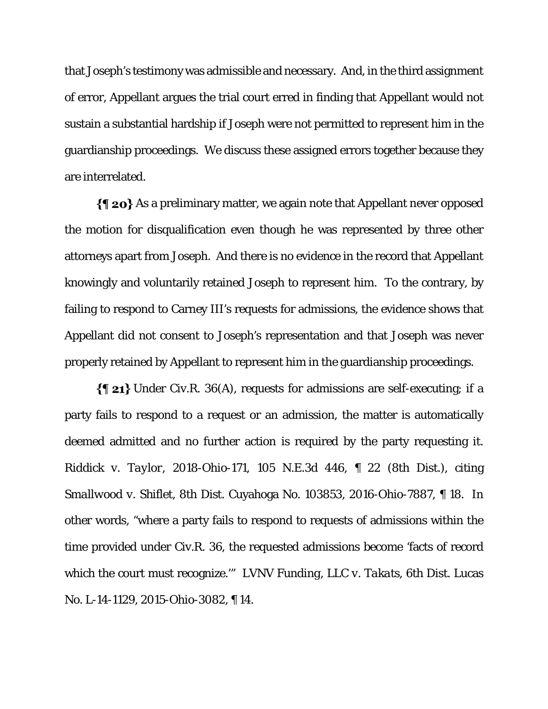that Joseph's testimony was admissible and necessary. And, in the third assignment of error, Appellant argues the trial court erred in finding that Appellant would not sustain a substantial hardship if Joseph were not permitted to represent him in the guardianship proceedings. We discuss these assigned errors together because they are interrelated.

 $\{\P$  20} As a preliminary matter, we again note that Appellant never opposed the motion for disqualification even though he was represented by three other attorneys apart from Joseph. And there is no evidence in the record that Appellant knowingly and voluntarily retained Joseph to represent him. To the contrary, by failing to respond to Carney III's requests for admissions, the evidence shows that Appellant did not consent to Joseph's representation and that Joseph was never properly retained by Appellant to represent him in the guardianship proceedings.

 $\{\P$  21} Under Civ.R. 36(A), requests for admissions are self-executing; if a party fails to respond to a request or an admission, the matter is automatically deemed admitted and no further action is required by the party requesting it. *Riddick v. Taylor*, 2018-Ohio-171, 105 N.E.3d 446, ¶ 22 (8th Dist.), citing *Smallwood v. Shiflet*, 8th Dist. Cuyahoga No. 103853, 2016-Ohio-7887, ¶ 18. In other words, "where a party fails to respond to requests of admissions within the time provided under Civ.R. 36, the requested admissions become 'facts of record which the court must recognize.'" *LVNV Funding, LLC v. Takats*, 6th Dist. Lucas No. L-14-1129, 2015-Ohio-3082, ¶ 14.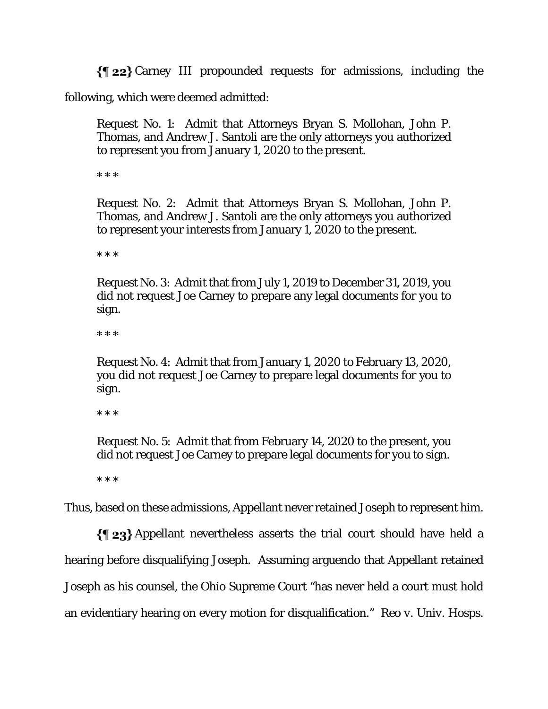$\{\P 22\}$  Carney III propounded requests for admissions, including the

following, which were deemed admitted:

Request No. 1: Admit that Attorneys Bryan S. Mollohan, John P. Thomas, and Andrew J. Santoli are the only attorneys you authorized to represent you from January 1, 2020 to the present.

\* \* \*

Request No. 2: Admit that Attorneys Bryan S. Mollohan, John P. Thomas, and Andrew J. Santoli are the only attorneys you authorized to represent your interests from January 1, 2020 to the present.

\* \* \*

Request No. 3: Admit that from July 1, 2019 to December 31, 2019, you did not request Joe Carney to prepare any legal documents for you to sign.

\* \* \*

Request No. 4: Admit that from January 1, 2020 to February 13, 2020, you did not request Joe Carney to prepare legal documents for you to sign.

\* \* \*

Request No. 5: Admit that from February 14, 2020 to the present, you did not request Joe Carney to prepare legal documents for you to sign.

\* \* \*

Thus, based on these admissions, Appellant never retained Joseph to represent him.

 $\{\P_2\}$  Appellant nevertheless asserts the trial court should have held a hearing before disqualifying Joseph. Assuming arguendo that Appellant retained Joseph as his counsel, the Ohio Supreme Court "has never held a court must hold an evidentiary hearing on every motion for disqualification." *Reo v. Univ. Hosps.*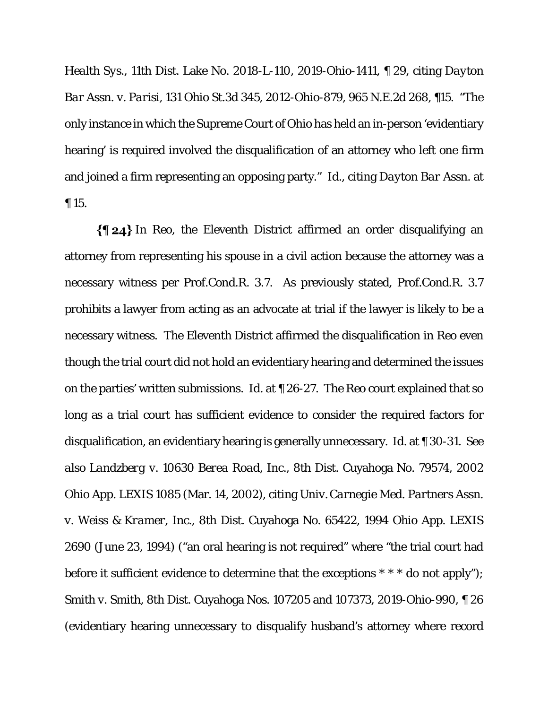*Health Sys*., 11th Dist. Lake No. 2018-L-110, 2019-Ohio-1411, ¶ 29, citing *Dayton Bar Assn. v. Parisi*, 131 Ohio St.3d 345, 2012-Ohio-879, 965 N.E.2d 268, ¶15. "The only instance in which the Supreme Court of Ohio has held an in-person 'evidentiary hearing' is required involved the disqualification of an attorney who left one firm and joined a firm representing an opposing party." *Id*., citing *Dayton Bar Assn.* at ¶ 15.

In *Reo*, the Eleventh District affirmed an order disqualifying an attorney from representing his spouse in a civil action because the attorney was a necessary witness per Prof.Cond.R. 3.7. As previously stated, Prof.Cond.R. 3.7 prohibits a lawyer from acting as an advocate at trial if the lawyer is likely to be a necessary witness. The Eleventh District affirmed the disqualification in *Reo* even though the trial court did not hold an evidentiary hearing and determined the issues on the parties' written submissions. *Id*. at ¶ 26-27. The *Reo* court explained that so long as a trial court has sufficient evidence to consider the required factors for disqualification, an evidentiary hearing is generally unnecessary. *Id*. at ¶ 30-31. *See also Landzberg v. 10630 Berea Road, Inc.*, 8th Dist. Cuyahoga No. 79574, 2002 Ohio App. LEXIS 1085 (Mar. 14, 2002), citing *Univ.Carnegie Med. Partners Assn. v. Weiss & Kramer, Inc.*, 8th Dist. Cuyahoga No. 65422, 1994 Ohio App. LEXIS 2690 (June 23, 1994) ("an oral hearing is not required" where "the trial court had before it sufficient evidence to determine that the exceptions \* \* \* do not apply"); *Smith v. Smith*, 8th Dist. Cuyahoga Nos. 107205 and 107373, 2019-Ohio-990, ¶ 26 (evidentiary hearing unnecessary to disqualify husband's attorney where record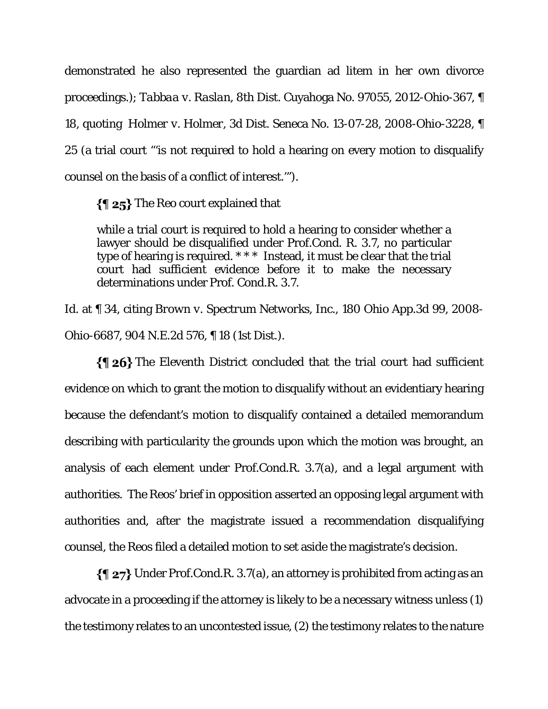demonstrated he also represented the guardian ad litem in her own divorce proceedings.); *Tabbaa v. Raslan*, 8th Dist. Cuyahoga No. 97055, 2012-Ohio-367, ¶ 18, quoting *Holmer v. Holmer*, 3d Dist. Seneca No. 13-07-28, 2008-Ohio-3228, ¶ 25 (a trial court "'is not required to hold a hearing on every motion to disqualify counsel on the basis of a conflict of interest.'").

The *Reo* court explained that

while a trial court is required to hold a hearing to consider whether a lawyer should be disqualified under Prof.Cond. R. 3.7, no particular type of hearing is required. \* \* \* Instead, it must be clear that the trial court had sufficient evidence before it to make the necessary determinations under Prof. Cond.R. 3.7.

*Id*. at ¶ 34, citing *Brown v. Spectrum Networks, Inc.*, 180 Ohio App.3d 99, 2008- Ohio-6687, 904 N.E.2d 576, ¶ 18 (1st Dist.).

 $\{\P 26\}$  The Eleventh District concluded that the trial court had sufficient evidence on which to grant the motion to disqualify without an evidentiary hearing because the defendant's motion to disqualify contained a detailed memorandum describing with particularity the grounds upon which the motion was brought, an analysis of each element under Prof.Cond.R. 3.7(a), and a legal argument with authorities. The Reos' brief in opposition asserted an opposing legal argument with authorities and, after the magistrate issued a recommendation disqualifying counsel, the Reos filed a detailed motion to set aside the magistrate's decision.

 $\{\P$  27} Under Prof.Cond.R. 3.7(a), an attorney is prohibited from acting as an advocate in a proceeding if the attorney is likely to be a necessary witness unless (1) the testimony relates to an uncontested issue, (2) the testimony relates to the nature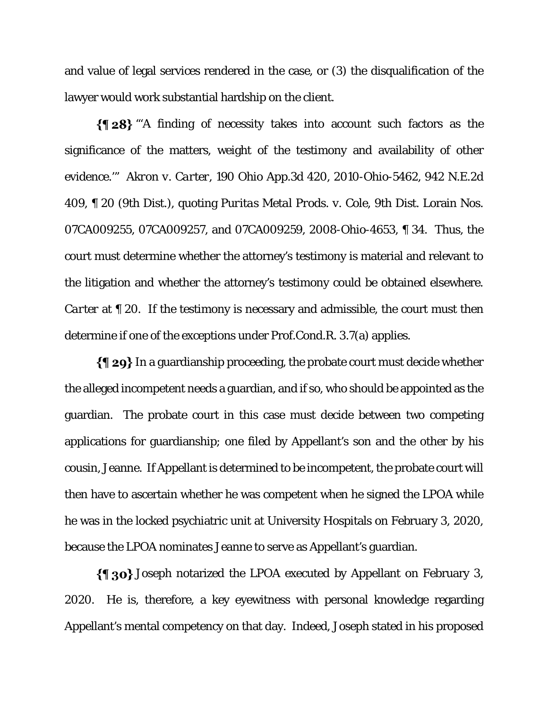and value of legal services rendered in the case, or (3) the disqualification of the lawyer would work substantial hardship on the client.

 $\{\$\ 28\}$  "A finding of necessity takes into account such factors as the significance of the matters, weight of the testimony and availability of other evidence.'" *Akron v. Carter*, 190 Ohio App.3d 420, 2010-Ohio-5462, 942 N.E.2d 409, ¶ 20 (9th Dist.), quoting *Puritas Metal Prods. v. Cole*, 9th Dist. Lorain Nos. 07CA009255, 07CA009257, and 07CA009259, 2008-Ohio-4653, ¶ 34. Thus, the court must determine whether the attorney's testimony is material and relevant to the litigation and whether the attorney's testimony could be obtained elsewhere. *Carter* at  $\llbracket 20$ . If the testimony is necessary and admissible, the court must then determine if one of the exceptions under Prof.Cond.R. 3.7(a) applies.

 $\{\P 29\}$  In a guardianship proceeding, the probate court must decide whether the alleged incompetent needs a guardian, and if so, who should be appointed as the guardian. The probate court in this case must decide between two competing applications for guardianship; one filed by Appellant's son and the other by his cousin, Jeanne. If Appellant is determined to be incompetent, the probate court will then have to ascertain whether he was competent when he signed the LPOA while he was in the locked psychiatric unit at University Hospitals on February 3, 2020, because the LPOA nominates Jeanne to serve as Appellant's guardian.

Joseph notarized the LPOA executed by Appellant on February 3, 2020. He is, therefore, a key eyewitness with personal knowledge regarding Appellant's mental competency on that day. Indeed, Joseph stated in his proposed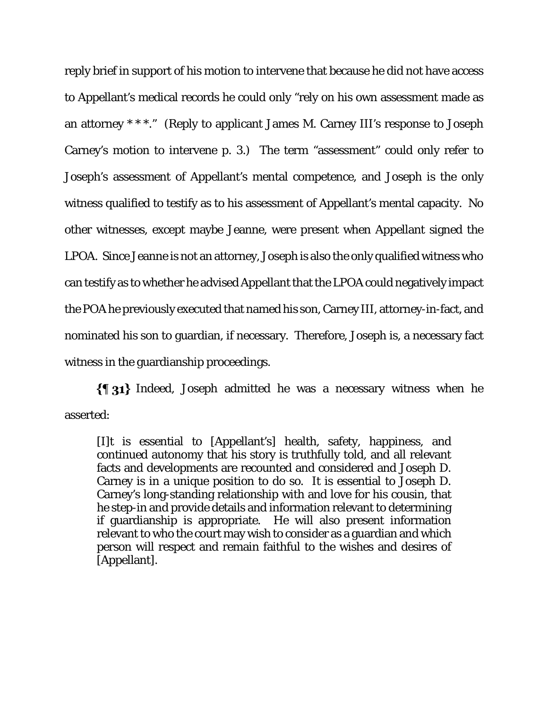reply brief in support of his motion to intervene that because he did not have access to Appellant's medical records he could only "rely on his own assessment made as an attorney \* \* \*." (Reply to applicant James M. Carney III's response to Joseph Carney's motion to intervene p. 3.) The term "assessment" could only refer to Joseph's assessment of Appellant's mental competence, and Joseph is the only witness qualified to testify as to his assessment of Appellant's mental capacity. No other witnesses, except maybe Jeanne, were present when Appellant signed the LPOA. Since Jeanne is not an attorney, Joseph is also the only qualified witness who can testify as to whether he advised Appellant that the LPOA could negatively impact the POA he previously executed that named his son, Carney III, attorney-in-fact, and nominated his son to guardian, if necessary. Therefore, Joseph is, a necessary fact witness in the guardianship proceedings.

 ${\{\,\}31\}$  Indeed, Joseph admitted he was a necessary witness when he asserted:

[I]t is essential to [Appellant's] health, safety, happiness, and continued autonomy that his story is truthfully told, and all relevant facts and developments are recounted and considered and Joseph D. Carney is in a unique position to do so. It is essential to Joseph D. Carney's long-standing relationship with and love for his cousin, that he step-in and provide details and information relevant to determining if guardianship is appropriate. He will also present information relevant to who the court may wish to consider as a guardian and which person will respect and remain faithful to the wishes and desires of [Appellant].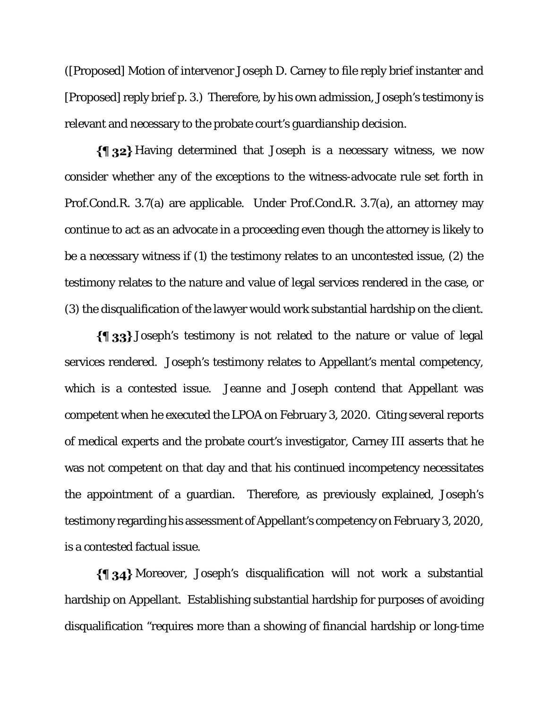([Proposed] Motion of intervenor Joseph D. Carney to file reply brief instanter and [Proposed] reply brief p. 3.) Therefore, by his own admission, Joseph's testimony is relevant and necessary to the probate court's guardianship decision.

 $\{\P_3, 2\}$  Having determined that Joseph is a necessary witness, we now consider whether any of the exceptions to the witness-advocate rule set forth in Prof.Cond.R. 3.7(a) are applicable. Under Prof.Cond.R. 3.7(a), an attorney may continue to act as an advocate in a proceeding even though the attorney is likely to be a necessary witness if (1) the testimony relates to an uncontested issue, (2) the testimony relates to the nature and value of legal services rendered in the case, or (3) the disqualification of the lawyer would work substantial hardship on the client.

Joseph's testimony is not related to the nature or value of legal services rendered. Joseph's testimony relates to Appellant's mental competency, which is a contested issue. Jeanne and Joseph contend that Appellant was competent when he executed the LPOA on February 3, 2020. Citing several reports of medical experts and the probate court's investigator, Carney III asserts that he was not competent on that day and that his continued incompetency necessitates the appointment of a guardian. Therefore, as previously explained, Joseph's testimony regarding his assessment of Appellant's competency on February 3, 2020, is a contested factual issue.

Moreover, Joseph's disqualification will not work a substantial hardship on Appellant. Establishing substantial hardship for purposes of avoiding disqualification "requires more than a showing of financial hardship or long-time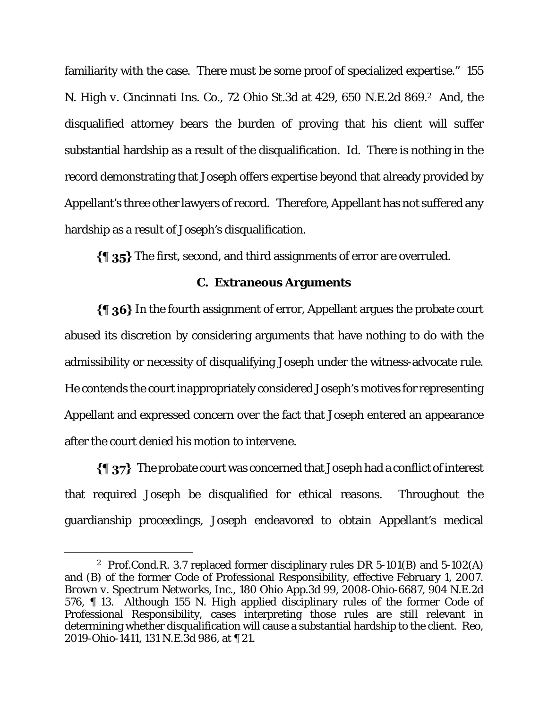familiarity with the case. There must be some proof of specialized expertise." *155 N. High v. Cincinnati Ins. Co.*, 72 Ohio St.3d at 429, 650 N.E.2d 869.2 And, the disqualified attorney bears the burden of proving that his client will suffer substantial hardship as a result of the disqualification. *Id*. There is nothing in the record demonstrating that Joseph offers expertise beyond that already provided by Appellant's three other lawyers of record. Therefore, Appellant has not suffered any hardship as a result of Joseph's disqualification.

The first, second, and third assignments of error are overruled.

# **C. Extraneous Arguments**

 $\{\P_36\}$  In the fourth assignment of error, Appellant argues the probate court abused its discretion by considering arguments that have nothing to do with the admissibility or necessity of disqualifying Joseph under the witness-advocate rule. He contends the court inappropriately considered Joseph's motives for representing Appellant and expressed concern over the fact that Joseph entered an appearance after the court denied his motion to intervene.

 $\{\P\}$  The probate court was concerned that Joseph had a conflict of interest that required Joseph be disqualified for ethical reasons. Throughout the guardianship proceedings, Joseph endeavored to obtain Appellant's medical

 <sup>2</sup> Prof.Cond.R. 3.7 replaced former disciplinary rules DR 5-101(B) and 5-102(A) and (B) of the former Code of Professional Responsibility, effective February 1, 2007. *Brown v. Spectrum Networks, Inc.*, 180 Ohio App.3d 99, 2008-Ohio-6687, 904 N.E.2d 576, ¶ 13. Although *155 N. High* applied disciplinary rules of the former Code of Professional Responsibility, cases interpreting those rules are still relevant in determining whether disqualification will cause a substantial hardship to the client. *Reo*, 2019-Ohio-1411, 131 N.E.3d 986, at ¶ 21.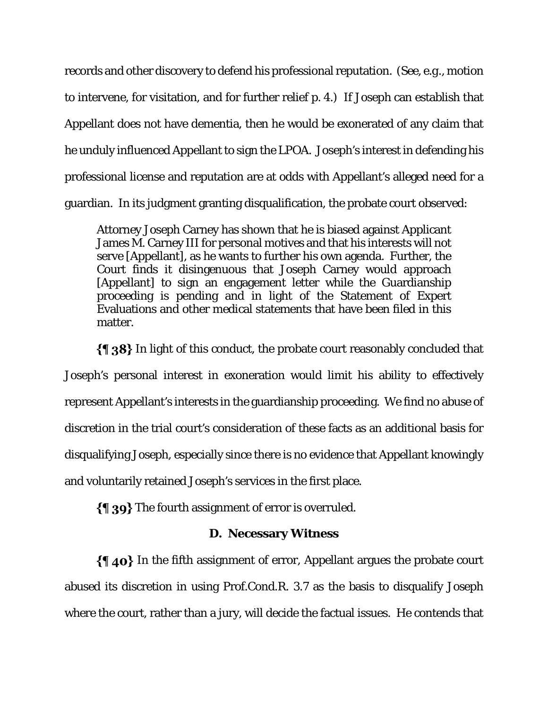records and other discovery to defend his professional reputation. (*See*, *e.g*., motion to intervene, for visitation, and for further relief p. 4.) If Joseph can establish that Appellant does not have dementia, then he would be exonerated of any claim that he unduly influenced Appellant to sign the LPOA. Joseph's interest in defending his professional license and reputation are at odds with Appellant's alleged need for a guardian. In its judgment granting disqualification, the probate court observed:

Attorney Joseph Carney has shown that he is biased against Applicant James M. Carney III for personal motives and that his interests will not serve [Appellant], as he wants to further his own agenda. Further, the Court finds it disingenuous that Joseph Carney would approach [Appellant] to sign an engagement letter while the Guardianship proceeding is pending and in light of the Statement of Expert Evaluations and other medical statements that have been filed in this matter.

 $\{\{\}\$  38} In light of this conduct, the probate court reasonably concluded that Joseph's personal interest in exoneration would limit his ability to effectively represent Appellant's interests in the guardianship proceeding. We find no abuse of discretion in the trial court's consideration of these facts as an additional basis for disqualifying Joseph, especially since there is no evidence that Appellant knowingly and voluntarily retained Joseph's services in the first place.

The fourth assignment of error is overruled.

# **D. Necessary Witness**

 $\{\P$  40} In the fifth assignment of error, Appellant argues the probate court abused its discretion in using Prof.Cond.R. 3.7 as the basis to disqualify Joseph where the court, rather than a jury, will decide the factual issues. He contends that